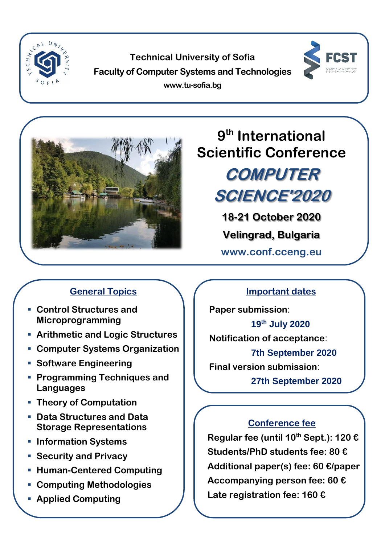

**Technical University of Sofia Faculty of Computer Systems and Technologies www.tu-sofia.bg**





# **9 th International Scientific Conference**

# **COMPUTER SCIENCE'2020**

**18-21 October 2020**

**Velingrad, Bulgaria**

**www.conf.cceng.eu**

# **General Topics**

- **Control Structures and Microprogramming**
- **Arithmetic and Logic Structures**
- **Computer Systems Organization**
- **Software Engineering**
- **Programming Techniques and Languages**
- **Theory of Computation**
- **Data Structures and Data Storage Representations**
- **Information Systems**
- **Security and Privacy**
- **Human-Centered Computing**
- **Computing Methodologies**
- **Applied Computing**

## **Important dates**

**Paper submission**: **19th July 2020 Notification of acceptance**: **7th September 2020 Final version submission**: **27th September 2020**

### **Conference fee**

**Regular fee (until 10th Sept.): 120 € Students/PhD students fee: 80 € Additional paper(s) fee: 60 €/paper Accompanying person fee: 60 € Late registration fee: 160 €**